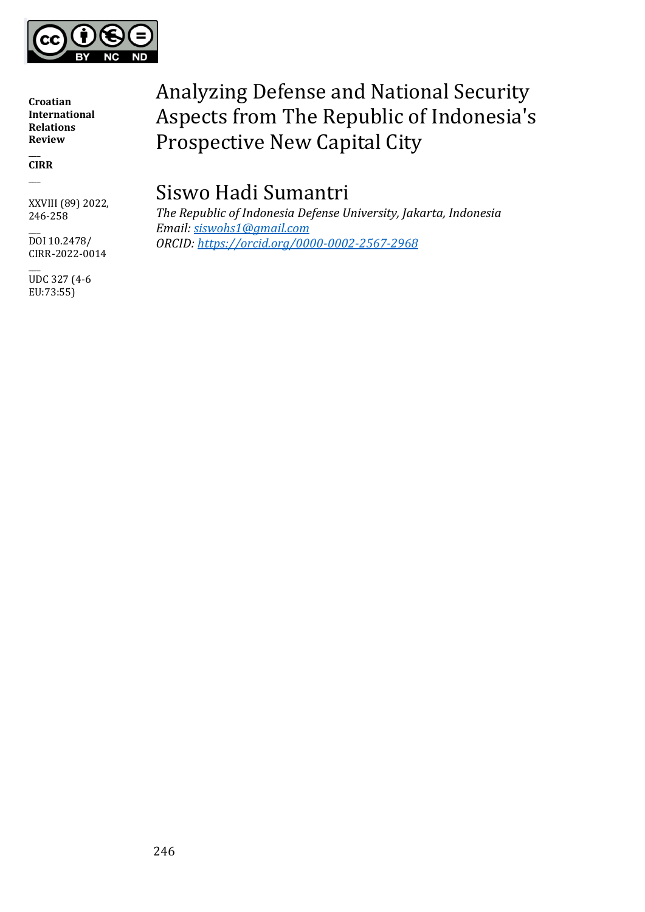

 $\overline{\phantom{a}}$ **CIRR**  $\overline{\phantom{a}}$ 

XXVIII (89) 2022, 246-258

 $\overline{\phantom{a}}$ DOI 10.2478/ CIRR-2022-0014

 $\overline{\phantom{a}}$ UDC 327 (4-6 EU:73:55)

# Analyzing Defense and National Security Aspects from The Republic of Indonesia's Prospective New Capital City

# Siswo Hadi Sumantri

*The Republic of Indonesia Defense University, Jakarta, Indonesia Email: [siswohs1@gmail.com](mailto:siswohs1@gmail.com) ORCID: <https://orcid.org/0000-0002-2567-2968>*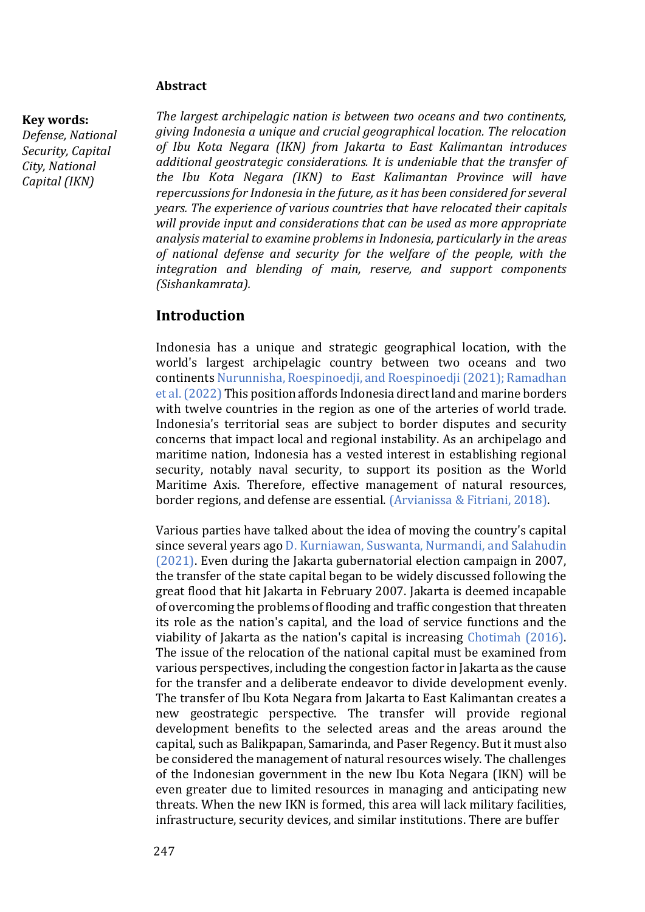#### **Abstract**

#### **Key words:**

*Defense, National Security, Capital City, National Capital (IKN)*

*The largest archipelagic nation is between two oceans and two continents, giving Indonesia a unique and crucial geographical location. The relocation of Ibu Kota Negara (IKN) from Jakarta to East Kalimantan introduces additional geostrategic considerations. It is undeniable that the transfer of the Ibu Kota Negara (IKN) to East Kalimantan Province will have repercussions for Indonesia in the future, as it has been considered for several years. The experience of various countries that have relocated their capitals will provide input and considerations that can be used as more appropriate analysis material to examine problems in Indonesia, particularly in the areas of national defense and security for the welfare of the people, with the integration and blending of main, reserve, and support components (Sishankamrata).*

## **Introduction**

Indonesia has a unique and strategic geographical location, with the world's largest archipelagic country between two oceans and two continents Nurunnisha, Roespinoedji, and Roespinoedji (2021); Ramadhan et al. (2022) This position affords Indonesia direct land and marine borders with twelve countries in the region as one of the arteries of world trade. Indonesia's territorial seas are subject to border disputes and security concerns that impact local and regional instability. As an archipelago and maritime nation, Indonesia has a vested interest in establishing regional security, notably naval security, to support its position as the World Maritime Axis. Therefore, effective management of natural resources, border regions, and defense are essential. (Arvianissa & Fitriani, 2018).

Various parties have talked about the idea of moving the country's capital since several years ago D. Kurniawan, Suswanta, Nurmandi, and Salahudin (2021). Even during the Jakarta gubernatorial election campaign in 2007, the transfer of the state capital began to be widely discussed following the great flood that hit Jakarta in February 2007. Jakarta is deemed incapable of overcoming the problems of flooding and traffic congestion that threaten its role as the nation's capital, and the load of service functions and the viability of Jakarta as the nation's capital is increasing Chotimah (2016). The issue of the relocation of the national capital must be examined from various perspectives, including the congestion factor in Jakarta as the cause for the transfer and a deliberate endeavor to divide development evenly. The transfer of Ibu Kota Negara from Jakarta to East Kalimantan creates a new geostrategic perspective. The transfer will provide regional development benefits to the selected areas and the areas around the capital, such as Balikpapan, Samarinda, and Paser Regency. But it must also be considered the management of natural resources wisely. The challenges of the Indonesian government in the new Ibu Kota Negara (IKN) will be even greater due to limited resources in managing and anticipating new threats. When the new IKN is formed, this area will lack military facilities, infrastructure, security devices, and similar institutions. There are buffer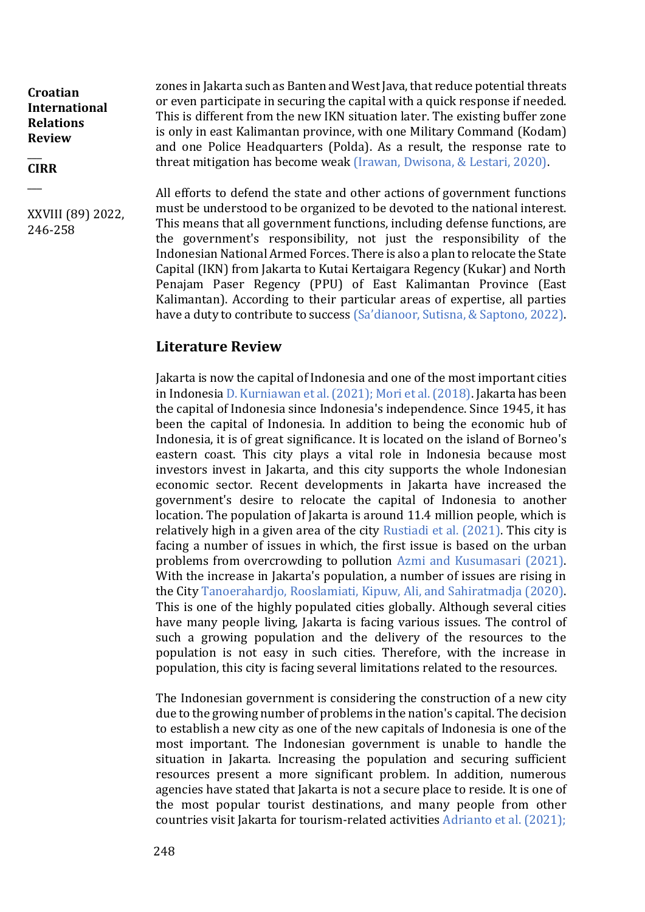$\overline{\phantom{a}}$ **CIRR**

 $\overline{\phantom{a}}$ 

XXVIII (89) 2022, 246-258

zones in Jakarta such as Banten and West Java, that reduce potential threats or even participate in securing the capital with a quick response if needed. This is different from the new IKN situation later. The existing buffer zone is only in east Kalimantan province, with one Military Command (Kodam) and one Police Headquarters (Polda). As a result, the response rate to threat mitigation has become weak (Irawan, Dwisona, & Lestari, 2020).

All efforts to defend the state and other actions of government functions must be understood to be organized to be devoted to the national interest. This means that all government functions, including defense functions, are the government's responsibility, not just the responsibility of the Indonesian National Armed Forces. There is also a plan to relocate the State Capital (IKN) from Jakarta to Kutai Kertaigara Regency (Kukar) and North Penajam Paser Regency (PPU) of East Kalimantan Province (East Kalimantan). According to their particular areas of expertise, all parties have a duty to contribute to success (Sa'dianoor, Sutisna, & Saptono, 2022).

## **Literature Review**

Jakarta is now the capital of Indonesia and one of the most important cities in Indonesia D. Kurniawan et al. (2021); Mori et al. (2018). Jakarta has been the capital of Indonesia since Indonesia's independence. Since 1945, it has been the capital of Indonesia. In addition to being the economic hub of Indonesia, it is of great significance. It is located on the island of Borneo's eastern coast. This city plays a vital role in Indonesia because most investors invest in Jakarta, and this city supports the whole Indonesian economic sector. Recent developments in Jakarta have increased the government's desire to relocate the capital of Indonesia to another location. The population of Jakarta is around 11.4 million people, which is relatively high in a given area of the city Rustiadi et al. (2021). This city is facing a number of issues in which, the first issue is based on the urban problems from overcrowding to pollution Azmi and Kusumasari (2021). With the increase in Jakarta's population, a number of issues are rising in the City Tanoerahardjo, Rooslamiati, Kipuw, Ali, and Sahiratmadja (2020). This is one of the highly populated cities globally. Although several cities have many people living, Jakarta is facing various issues. The control of such a growing population and the delivery of the resources to the population is not easy in such cities. Therefore, with the increase in population, this city is facing several limitations related to the resources.

The Indonesian government is considering the construction of a new city due to the growing number of problems in the nation's capital. The decision to establish a new city as one of the new capitals of Indonesia is one of the most important. The Indonesian government is unable to handle the situation in Jakarta. Increasing the population and securing sufficient resources present a more significant problem. In addition, numerous agencies have stated that Jakarta is not a secure place to reside. It is one of the most popular tourist destinations, and many people from other countries visit Jakarta for tourism-related activities Adrianto et al. (2021);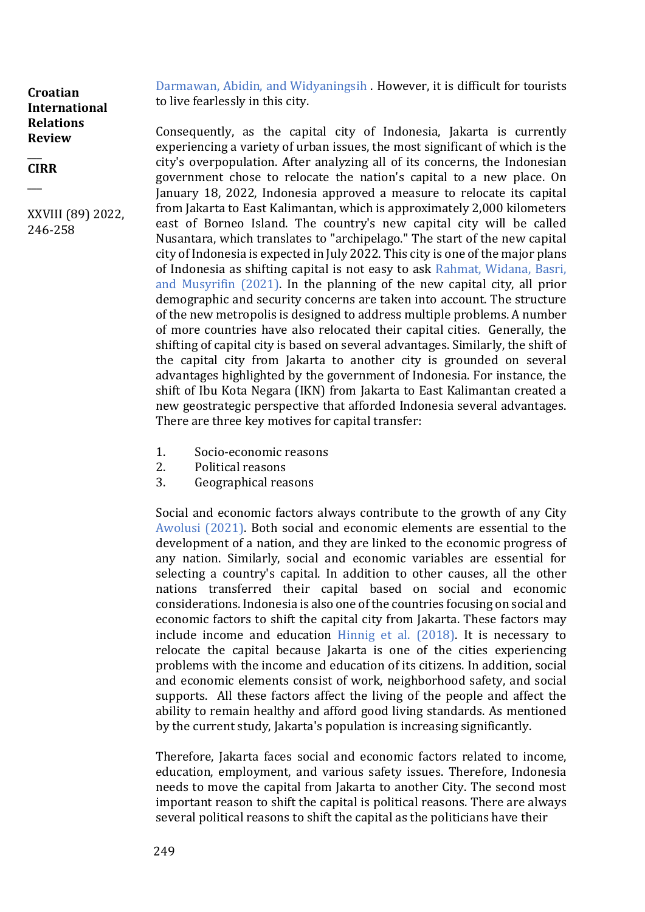$\overline{\phantom{a}}$ **CIRR**

 $\overline{\phantom{a}}$ 

XXVIII (89) 2022, 246-258

Darmawan, Abidin, and Widyaningsih . However, it is difficult for tourists to live fearlessly in this city.

Consequently, as the capital city of Indonesia, Jakarta is currently experiencing a variety of urban issues, the most significant of which is the city's overpopulation. After analyzing all of its concerns, the Indonesian government chose to relocate the nation's capital to a new place. On January 18, 2022, Indonesia approved a measure to relocate its capital from Jakarta to East Kalimantan, which is approximately 2,000 kilometers east of Borneo Island. The country's new capital city will be called Nusantara, which translates to "archipelago." The start of the new capital city of Indonesia is expected in July 2022. This city is one of the major plans of Indonesia as shifting capital is not easy to ask Rahmat, Widana, Basri, and Musyrifin (2021). In the planning of the new capital city, all prior demographic and security concerns are taken into account. The structure of the new metropolis is designed to address multiple problems. A number of more countries have also relocated their capital cities. Generally, the shifting of capital city is based on several advantages. Similarly, the shift of the capital city from Jakarta to another city is grounded on several advantages highlighted by the government of Indonesia. For instance, the shift of Ibu Kota Negara (IKN) from Jakarta to East Kalimantan created a new geostrategic perspective that afforded Indonesia several advantages. There are three key motives for capital transfer:

- 1. Socio-economic reasons
- 2. Political reasons
- 3. Geographical reasons

Social and economic factors always contribute to the growth of any City Awolusi (2021). Both social and economic elements are essential to the development of a nation, and they are linked to the economic progress of any nation. Similarly, social and economic variables are essential for selecting a country's capital. In addition to other causes, all the other nations transferred their capital based on social and economic considerations. Indonesia is also one of the countries focusing on social and economic factors to shift the capital city from Jakarta. These factors may include income and education Hinnig et al. (2018). It is necessary to relocate the capital because Jakarta is one of the cities experiencing problems with the income and education of its citizens. In addition, social and economic elements consist of work, neighborhood safety, and social supports. All these factors affect the living of the people and affect the ability to remain healthy and afford good living standards. As mentioned by the current study, Jakarta's population is increasing significantly.

Therefore, Jakarta faces social and economic factors related to income, education, employment, and various safety issues. Therefore, Indonesia needs to move the capital from Jakarta to another City. The second most important reason to shift the capital is political reasons. There are always several political reasons to shift the capital as the politicians have their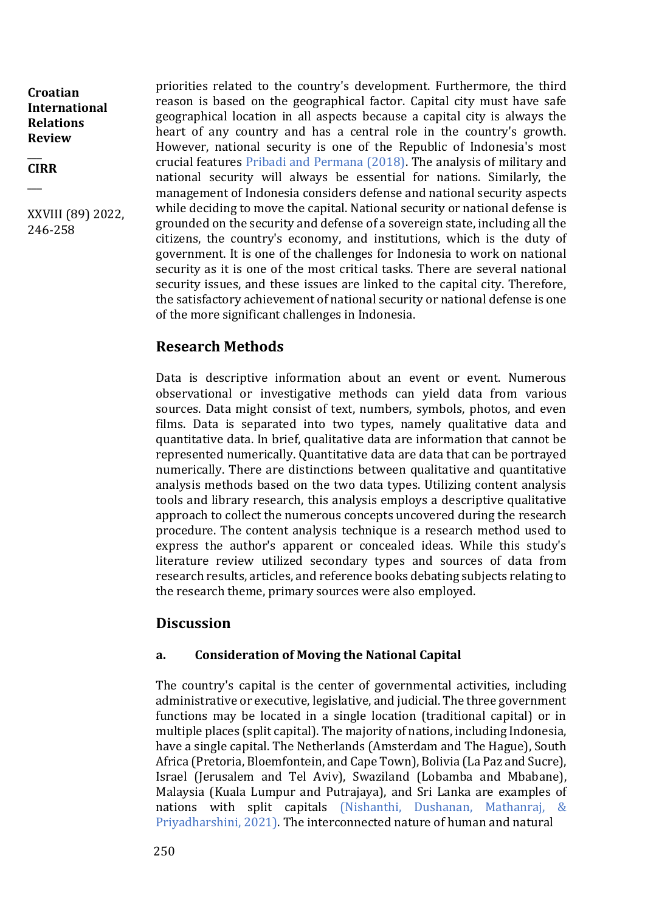$\overline{\phantom{a}}$ **CIRR**

 $\overline{\phantom{a}}$ 

XXVIII (89) 2022, 246-258

priorities related to the country's development. Furthermore, the third reason is based on the geographical factor. Capital city must have safe geographical location in all aspects because a capital city is always the heart of any country and has a central role in the country's growth. However, national security is one of the Republic of Indonesia's most crucial features Pribadi and Permana (2018). The analysis of military and national security will always be essential for nations. Similarly, the management of Indonesia considers defense and national security aspects while deciding to move the capital. National security or national defense is grounded on the security and defense of a sovereign state, including all the citizens, the country's economy, and institutions, which is the duty of government. It is one of the challenges for Indonesia to work on national security as it is one of the most critical tasks. There are several national security issues, and these issues are linked to the capital city. Therefore, the satisfactory achievement of national security or national defense is one of the more significant challenges in Indonesia.

## **Research Methods**

Data is descriptive information about an event or event. Numerous observational or investigative methods can yield data from various sources. Data might consist of text, numbers, symbols, photos, and even films. Data is separated into two types, namely qualitative data and quantitative data. In brief, qualitative data are information that cannot be represented numerically. Quantitative data are data that can be portrayed numerically. There are distinctions between qualitative and quantitative analysis methods based on the two data types. Utilizing content analysis tools and library research, this analysis employs a descriptive qualitative approach to collect the numerous concepts uncovered during the research procedure. The content analysis technique is a research method used to express the author's apparent or concealed ideas. While this study's literature review utilized secondary types and sources of data from research results, articles, and reference books debating subjects relating to the research theme, primary sources were also employed.

## **Discussion**

#### **a. Consideration of Moving the National Capital**

The country's capital is the center of governmental activities, including administrative or executive, legislative, and judicial. The three government functions may be located in a single location (traditional capital) or in multiple places (split capital). The majority of nations, including Indonesia, have a single capital. The Netherlands (Amsterdam and The Hague), South Africa (Pretoria, Bloemfontein, and Cape Town), Bolivia (La Paz and Sucre), Israel (Jerusalem and Tel Aviv), Swaziland (Lobamba and Mbabane), Malaysia (Kuala Lumpur and Putrajaya), and Sri Lanka are examples of nations with split capitals (Nishanthi, Dushanan, Mathanraj, & Priyadharshini, 2021). The interconnected nature of human and natural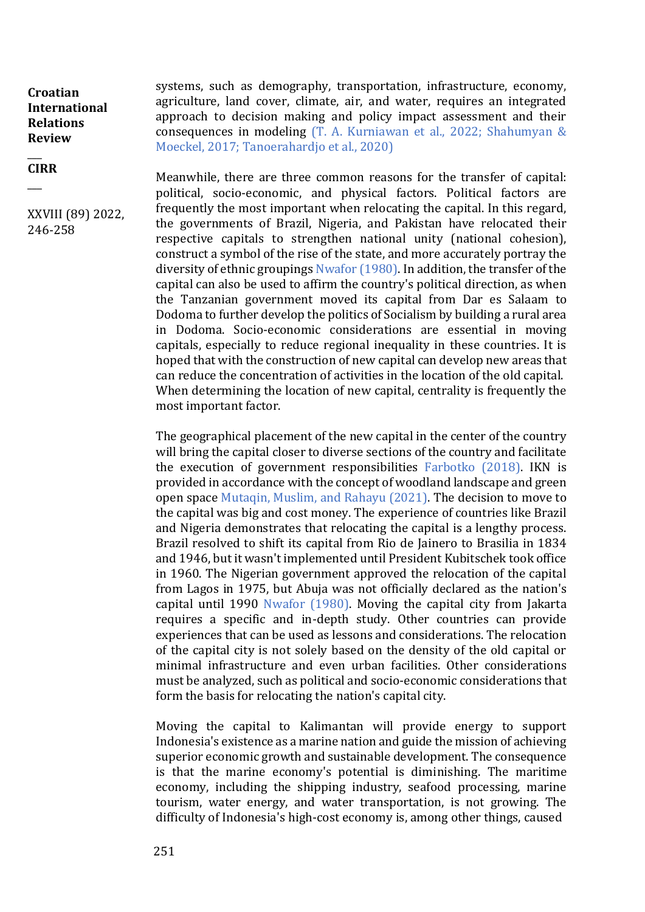$\overline{\phantom{a}}$ **CIRR**

 $\overline{\phantom{a}}$ 

XXVIII (89) 2022, 246-258

systems, such as demography, transportation, infrastructure, economy, agriculture, land cover, climate, air, and water, requires an integrated approach to decision making and policy impact assessment and their consequences in modeling (T. A. Kurniawan et al., 2022; Shahumyan & Moeckel, 2017; Tanoerahardjo et al., 2020)

Meanwhile, there are three common reasons for the transfer of capital: political, socio-economic, and physical factors. Political factors are frequently the most important when relocating the capital. In this regard, the governments of Brazil, Nigeria, and Pakistan have relocated their respective capitals to strengthen national unity (national cohesion), construct a symbol of the rise of the state, and more accurately portray the diversity of ethnic groupings Nwafor (1980). In addition, the transfer of the capital can also be used to affirm the country's political direction, as when the Tanzanian government moved its capital from Dar es Salaam to Dodoma to further develop the politics of Socialism by building a rural area in Dodoma. Socio-economic considerations are essential in moving capitals, especially to reduce regional inequality in these countries. It is hoped that with the construction of new capital can develop new areas that can reduce the concentration of activities in the location of the old capital. When determining the location of new capital, centrality is frequently the most important factor.

The geographical placement of the new capital in the center of the country will bring the capital closer to diverse sections of the country and facilitate the execution of government responsibilities Farbotko (2018). IKN is provided in accordance with the concept of woodland landscape and green open space Mutaqin, Muslim, and Rahayu (2021). The decision to move to the capital was big and cost money. The experience of countries like Brazil and Nigeria demonstrates that relocating the capital is a lengthy process. Brazil resolved to shift its capital from Rio de Jainero to Brasilia in 1834 and 1946, but it wasn't implemented until President Kubitschek took office in 1960. The Nigerian government approved the relocation of the capital from Lagos in 1975, but Abuja was not officially declared as the nation's capital until 1990 Nwafor (1980). Moving the capital city from Jakarta requires a specific and in-depth study. Other countries can provide experiences that can be used as lessons and considerations. The relocation of the capital city is not solely based on the density of the old capital or minimal infrastructure and even urban facilities. Other considerations must be analyzed, such as political and socio-economic considerations that form the basis for relocating the nation's capital city.

Moving the capital to Kalimantan will provide energy to support Indonesia's existence as a marine nation and guide the mission of achieving superior economic growth and sustainable development. The consequence is that the marine economy's potential is diminishing. The maritime economy, including the shipping industry, seafood processing, marine tourism, water energy, and water transportation, is not growing. The difficulty of Indonesia's high-cost economy is, among other things, caused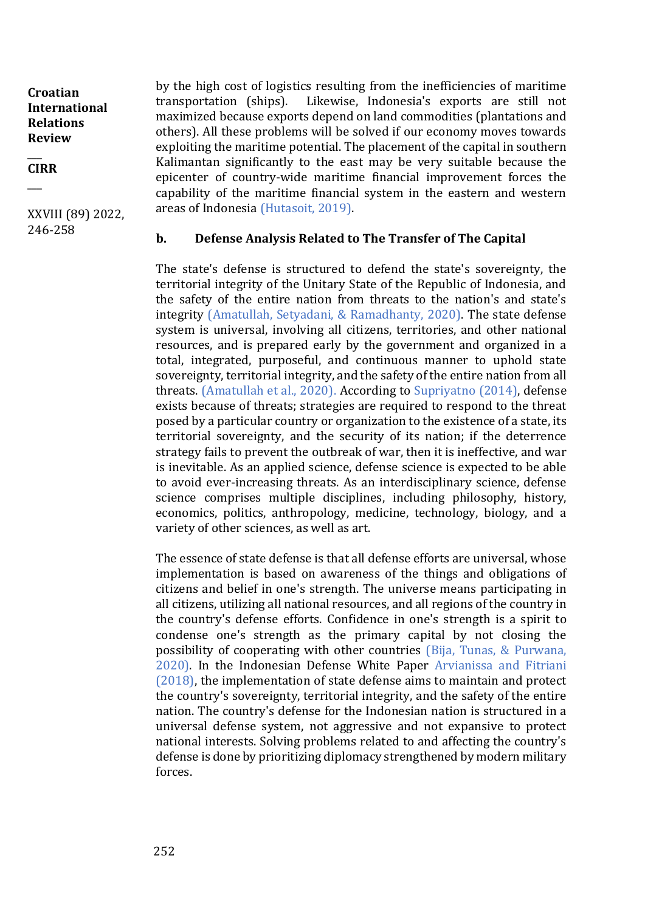$\overline{\phantom{a}}$ **CIRR**

 $\overline{\phantom{a}}$ 

XXVIII (89) 2022, 246-258

by the high cost of logistics resulting from the inefficiencies of maritime transportation (ships). Likewise, Indonesia's exports are still not maximized because exports depend on land commodities (plantations and others). All these problems will be solved if our economy moves towards exploiting the maritime potential. The placement of the capital in southern Kalimantan significantly to the east may be very suitable because the epicenter of country-wide maritime financial improvement forces the capability of the maritime financial system in the eastern and western areas of Indonesia (Hutasoit, 2019).

#### **b. Defense Analysis Related to The Transfer of The Capital**

The state's defense is structured to defend the state's sovereignty, the territorial integrity of the Unitary State of the Republic of Indonesia, and the safety of the entire nation from threats to the nation's and state's integrity (Amatullah, Setyadani, & Ramadhanty, 2020). The state defense system is universal, involving all citizens, territories, and other national resources, and is prepared early by the government and organized in a total, integrated, purposeful, and continuous manner to uphold state sovereignty, territorial integrity, and the safety of the entire nation from all threats. (Amatullah et al., 2020). According to Supriyatno (2014), defense exists because of threats; strategies are required to respond to the threat posed by a particular country or organization to the existence of a state, its territorial sovereignty, and the security of its nation; if the deterrence strategy fails to prevent the outbreak of war, then it is ineffective, and war is inevitable. As an applied science, defense science is expected to be able to avoid ever-increasing threats. As an interdisciplinary science, defense science comprises multiple disciplines, including philosophy, history, economics, politics, anthropology, medicine, technology, biology, and a variety of other sciences, as well as art.

The essence of state defense is that all defense efforts are universal, whose implementation is based on awareness of the things and obligations of citizens and belief in one's strength. The universe means participating in all citizens, utilizing all national resources, and all regions of the country in the country's defense efforts. Confidence in one's strength is a spirit to condense one's strength as the primary capital by not closing the possibility of cooperating with other countries (Bija, Tunas, & Purwana, 2020). In the Indonesian Defense White Paper Arvianissa and Fitriani (2018), the implementation of state defense aims to maintain and protect the country's sovereignty, territorial integrity, and the safety of the entire nation. The country's defense for the Indonesian nation is structured in a universal defense system, not aggressive and not expansive to protect national interests. Solving problems related to and affecting the country's defense is done by prioritizing diplomacy strengthened by modern military forces.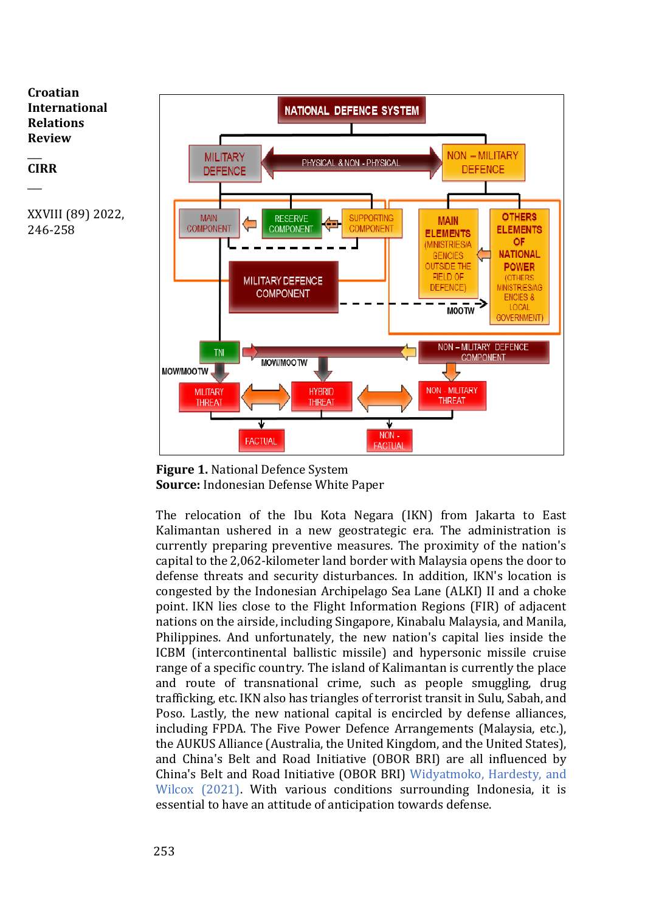

 $\overline{\phantom{a}}$ 

 $\overline{\phantom{a}}$ 



**Figure 1.** National Defence System **Source:** Indonesian Defense White Paper

The relocation of the Ibu Kota Negara (IKN) from Jakarta to East Kalimantan ushered in a new geostrategic era. The administration is currently preparing preventive measures. The proximity of the nation's capital to the 2,062-kilometer land border with Malaysia opens the door to defense threats and security disturbances. In addition, IKN's location is congested by the Indonesian Archipelago Sea Lane (ALKI) II and a choke point. IKN lies close to the Flight Information Regions (FIR) of adjacent nations on the airside, including Singapore, Kinabalu Malaysia, and Manila, Philippines. And unfortunately, the new nation's capital lies inside the ICBM (intercontinental ballistic missile) and hypersonic missile cruise range of a specific country. The island of Kalimantan is currently the place and route of transnational crime, such as people smuggling, drug trafficking, etc. IKN also has triangles of terrorist transit in Sulu, Sabah, and Poso. Lastly, the new national capital is encircled by defense alliances, including FPDA. The Five Power Defence Arrangements (Malaysia, etc.), the AUKUS Alliance (Australia, the United Kingdom, and the United States), and China's Belt and Road Initiative (OBOR BRI) are all influenced by China's Belt and Road Initiative (OBOR BRI) Widyatmoko, Hardesty, and Wilcox (2021). With various conditions surrounding Indonesia, it is essential to have an attitude of anticipation towards defense.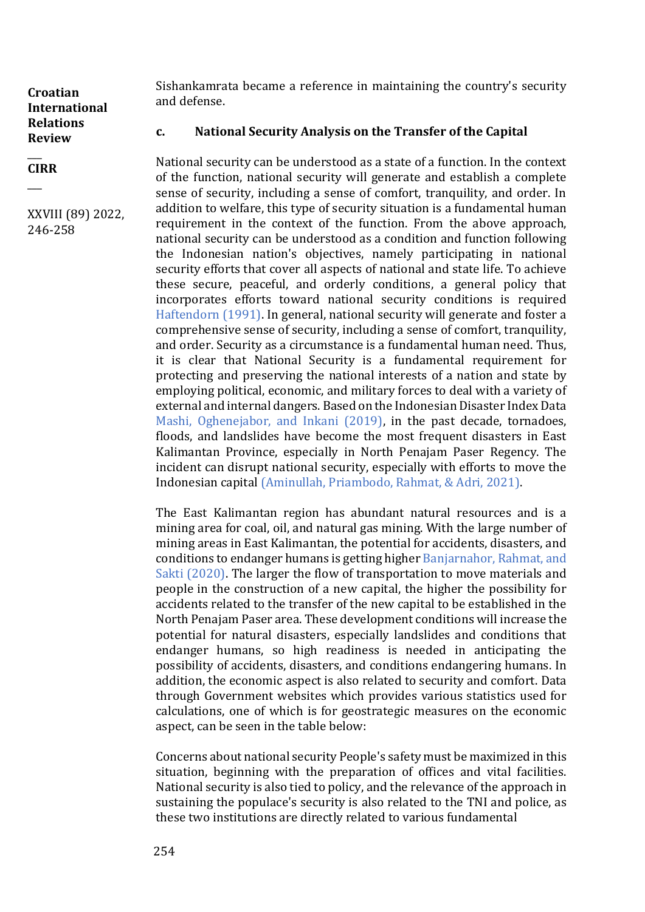$\overline{\phantom{a}}$ **CIRR**

 $\overline{\phantom{a}}$ 

XXVIII (89) 2022, 246-258

Sishankamrata became a reference in maintaining the country's security and defense.

### **c. National Security Analysis on the Transfer of the Capital**

National security can be understood as a state of a function. In the context of the function, national security will generate and establish a complete sense of security, including a sense of comfort, tranquility, and order. In addition to welfare, this type of security situation is a fundamental human requirement in the context of the function. From the above approach, national security can be understood as a condition and function following the Indonesian nation's objectives, namely participating in national security efforts that cover all aspects of national and state life. To achieve these secure, peaceful, and orderly conditions, a general policy that incorporates efforts toward national security conditions is required Haftendorn (1991). In general, national security will generate and foster a comprehensive sense of security, including a sense of comfort, tranquility, and order. Security as a circumstance is a fundamental human need. Thus, it is clear that National Security is a fundamental requirement for protecting and preserving the national interests of a nation and state by employing political, economic, and military forces to deal with a variety of external and internal dangers. Based on the Indonesian Disaster Index Data Mashi, Oghenejabor, and Inkani (2019), in the past decade, tornadoes, floods, and landslides have become the most frequent disasters in East Kalimantan Province, especially in North Penajam Paser Regency. The incident can disrupt national security, especially with efforts to move the Indonesian capital (Aminullah, Priambodo, Rahmat, & Adri, 2021).

The East Kalimantan region has abundant natural resources and is a mining area for coal, oil, and natural gas mining. With the large number of mining areas in East Kalimantan, the potential for accidents, disasters, and conditions to endanger humans is getting higher Banjarnahor, Rahmat, and Sakti (2020). The larger the flow of transportation to move materials and people in the construction of a new capital, the higher the possibility for accidents related to the transfer of the new capital to be established in the North Penajam Paser area. These development conditions will increase the potential for natural disasters, especially landslides and conditions that endanger humans, so high readiness is needed in anticipating the possibility of accidents, disasters, and conditions endangering humans. In addition, the economic aspect is also related to security and comfort. Data through Government websites which provides various statistics used for calculations, one of which is for geostrategic measures on the economic aspect, can be seen in the table below:

Concerns about national security People's safety must be maximized in this situation, beginning with the preparation of offices and vital facilities. National security is also tied to policy, and the relevance of the approach in sustaining the populace's security is also related to the TNI and police, as these two institutions are directly related to various fundamental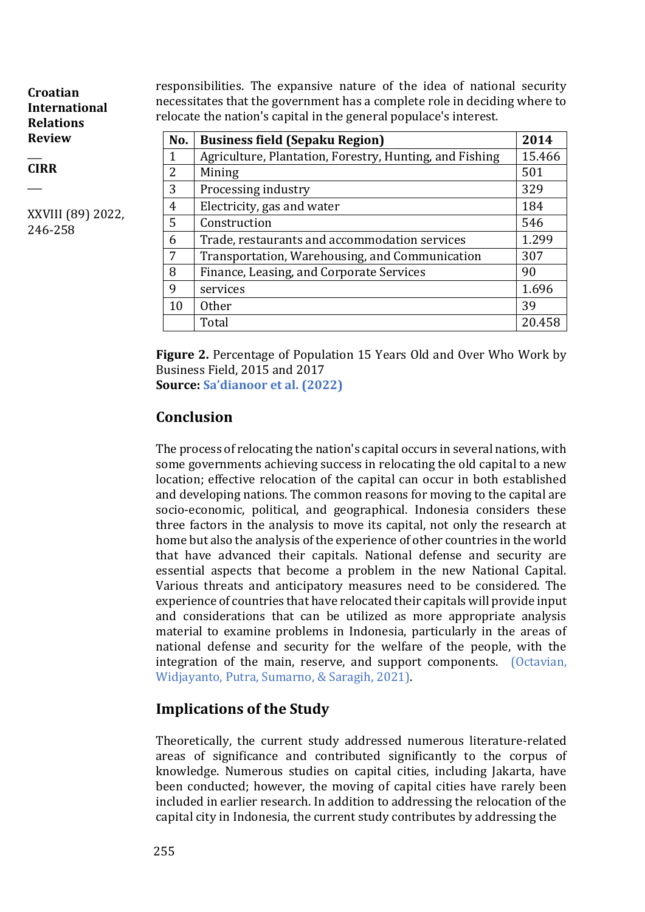$\overline{\phantom{a}}$ **CIRR**

 $\overline{\phantom{a}}$ 

XXVIII (89) 2022, 246-258

responsibilities. The expansive nature of the idea of national security necessitates that the government has a complete role in deciding where to relocate the nation's capital in the general populace's interest.

| No.            | <b>Business field (Sepaku Region)</b>                   | 2014   |
|----------------|---------------------------------------------------------|--------|
| $\mathbf{1}$   | Agriculture, Plantation, Forestry, Hunting, and Fishing | 15.466 |
| $\overline{2}$ | Mining                                                  | 501    |
| 3              | Processing industry                                     | 329    |
| 4              | Electricity, gas and water                              | 184    |
| 5              | Construction                                            | 546    |
| 6              | Trade, restaurants and accommodation services           | 1.299  |
| 7              | Transportation, Warehousing, and Communication          | 307    |
| 8              | Finance, Leasing, and Corporate Services                | 90     |
| 9              | services                                                | 1.696  |
| 10             | <b>Other</b>                                            | 39     |
|                | Total                                                   | 20.458 |

**Figure 2.** Percentage of Population 15 Years Old and Over Who Work by Business Field, 2015 and 2017

**Source: Sa'dianoor et al. (2022)**

# **Conclusion**

The process of relocating the nation's capital occurs in several nations, with some governments achieving success in relocating the old capital to a new location; effective relocation of the capital can occur in both established and developing nations. The common reasons for moving to the capital are socio-economic, political, and geographical. Indonesia considers these three factors in the analysis to move its capital, not only the research at home but also the analysis of the experience of other countries in the world that have advanced their capitals. National defense and security are essential aspects that become a problem in the new National Capital. Various threats and anticipatory measures need to be considered. The experience of countries that have relocated their capitals will provide input and considerations that can be utilized as more appropriate analysis material to examine problems in Indonesia, particularly in the areas of national defense and security for the welfare of the people, with the integration of the main, reserve, and support components. (Octavian, Widjayanto, Putra, Sumarno, & Saragih, 2021).

# **Implications of the Study**

Theoretically, the current study addressed numerous literature-related areas of significance and contributed significantly to the corpus of knowledge. Numerous studies on capital cities, including Jakarta, have been conducted; however, the moving of capital cities have rarely been included in earlier research. In addition to addressing the relocation of the capital city in Indonesia, the current study contributes by addressing the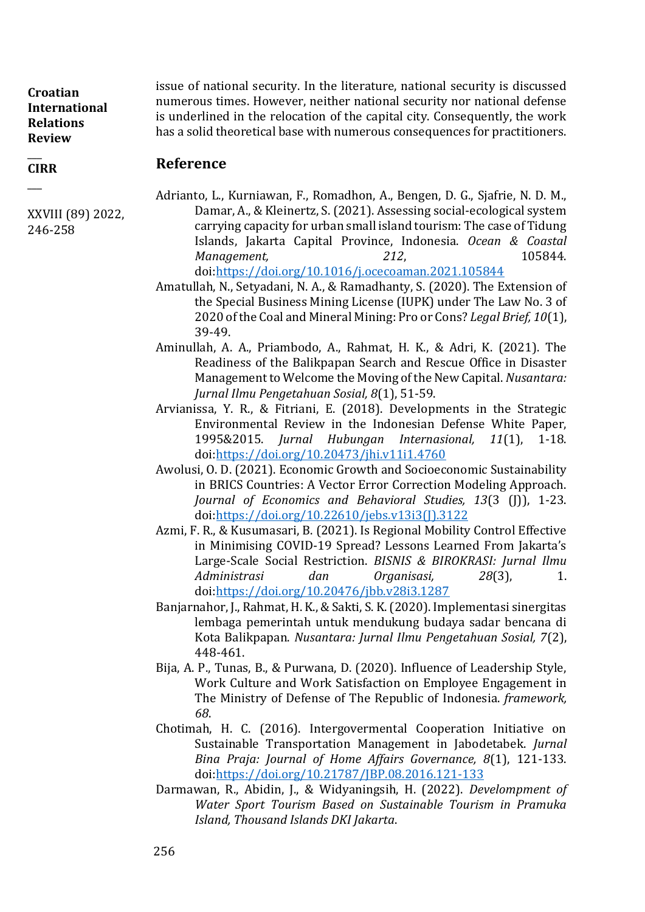XXVIII (89) 2022,

246-258

 $\overline{\phantom{a}}$ **CIRR**  $\overline{\phantom{a}}$ 

issue of national security. In the literature, national security is discussed numerous times. However, neither national security nor national defense is underlined in the relocation of the capital city. Consequently, the work has a solid theoretical base with numerous consequences for practitioners.

#### **Reference**

- Adrianto, L., Kurniawan, F., Romadhon, A., Bengen, D. G., Sjafrie, N. D. M., Damar, A., & Kleinertz, S. (2021). Assessing social-ecological system carrying capacity for urban small island tourism: The case of Tidung Islands, Jakarta Capital Province, Indonesia. *Ocean & Coastal Management,* 212, 205844. doi[:https://doi.org/10.1016/j.ocecoaman.2021.105844](https://doi.org/10.1016/j.ocecoaman.2021.105844)
- Amatullah, N., Setyadani, N. A., & Ramadhanty, S. (2020). The Extension of the Special Business Mining License (IUPK) under The Law No. 3 of 2020 of the Coal and Mineral Mining: Pro or Cons? *Legal Brief, 10*(1), 39-49.
- Aminullah, A. A., Priambodo, A., Rahmat, H. K., & Adri, K. (2021). The Readiness of the Balikpapan Search and Rescue Office in Disaster Management to Welcome the Moving of the New Capital. *Nusantara: Jurnal Ilmu Pengetahuan Sosial, 8*(1), 51-59.
- Arvianissa, Y. R., & Fitriani, E. (2018). Developments in the Strategic Environmental Review in the Indonesian Defense White Paper, 1995&2015. *Jurnal Hubungan Internasional, 11*(1), 1-18. doi[:https://doi.org/10.20473/jhi.v11i1.4760](https://doi.org/10.20473/jhi.v11i1.4760)
- Awolusi, O. D. (2021). Economic Growth and Socioeconomic Sustainability in BRICS Countries: A Vector Error Correction Modeling Approach. *Journal of Economics and Behavioral Studies, 13*(3 (J)), 1-23. doi[:https://doi.org/10.22610/jebs.v13i3\(J\).3122](https://doi.org/10.22610/jebs.v13i3(J).3122)
- Azmi, F. R., & Kusumasari, B. (2021). Is Regional Mobility Control Effective in Minimising COVID-19 Spread? Lessons Learned From Jakarta's Large-Scale Social Restriction. *BISNIS & BIROKRASI: Jurnal Ilmu Administrasi dan Organisasi, 28*(3), 1. doi[:https://doi.org/10.20476/jbb.v28i3.1287](https://doi.org/10.20476/jbb.v28i3.1287)
- Banjarnahor, J., Rahmat, H. K., & Sakti, S. K. (2020). Implementasi sinergitas lembaga pemerintah untuk mendukung budaya sadar bencana di Kota Balikpapan. *Nusantara: Jurnal Ilmu Pengetahuan Sosial, 7*(2), 448-461.
- Bija, A. P., Tunas, B., & Purwana, D. (2020). Influence of Leadership Style, Work Culture and Work Satisfaction on Employee Engagement in The Ministry of Defense of The Republic of Indonesia. *framework, 68*.
- Chotimah, H. C. (2016). Intergovermental Cooperation Initiative on Sustainable Transportation Management in Jabodetabek. *Jurnal Bina Praja: Journal of Home Affairs Governance, 8*(1), 121-133. doi[:https://doi.org/10.21787/JBP.08.2016.121-133](https://doi.org/10.21787/JBP.08.2016.121-133)
- Darmawan, R., Abidin, J., & Widyaningsih, H. (2022). *Develompment of Water Sport Tourism Based on Sustainable Tourism in Pramuka Island, Thousand Islands DKI Jakarta*.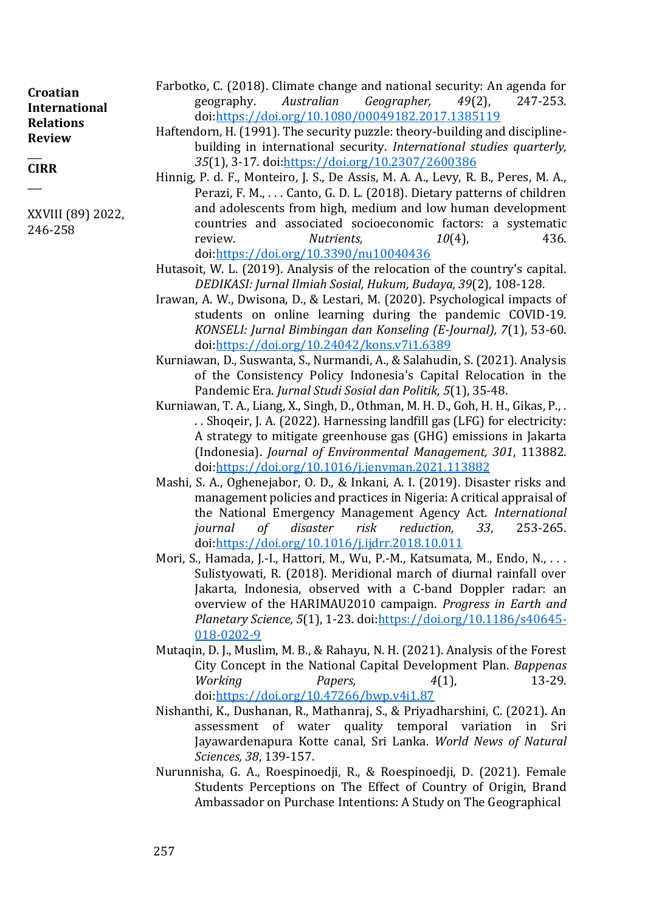| Croatian             | Farbotko, C. (2018). Climate change and national security: An agenda for          |  |                                                                     |  |  |
|----------------------|-----------------------------------------------------------------------------------|--|---------------------------------------------------------------------|--|--|
| <b>International</b> |                                                                                   |  | geography. Australian Geographer, 49(2), 247-253.                   |  |  |
| <b>Relations</b>     |                                                                                   |  | doi:https://doi.org/10.1080/00049182.2017.1385119                   |  |  |
| <b>Review</b>        | Haftendorn, H. (1991). The security puzzle: theory-building and discipline-       |  |                                                                     |  |  |
|                      | building in international security. International studies quarterly,              |  |                                                                     |  |  |
| <b>CIRR</b>          |                                                                                   |  | 35(1), 3-17. doi:https://doi.org/10.2307/2600386                    |  |  |
|                      | Hinnig, P. d. F., Monteiro, J. S., De Assis, M. A. A., Levy, R. B., Peres, M. A., |  |                                                                     |  |  |
|                      |                                                                                   |  | Perazi, F. M., Canto, G. D. L. (2018). Dietary patterns of children |  |  |

and adolescents from high, medium and low human development countries and associated socioeconomic factors: a systematic review. *Nutrients, 10*(4), 436. doi[:https://doi.org/10.3390/nu10040436](https://doi.org/10.3390/nu10040436)

- Hutasoit, W. L. (2019). Analysis of the relocation of the country's capital. *DEDIKASI: Jurnal Ilmiah Sosial, Hukum, Budaya, 39*(2), 108-128.
- Irawan, A. W., Dwisona, D., & Lestari, M. (2020). Psychological impacts of students on online learning during the pandemic COVID-19. *KONSELI: Jurnal Bimbingan dan Konseling (E-Journal), 7*(1), 53-60. doi[:https://doi.org/10.24042/kons.v7i1.6389](https://doi.org/10.24042/kons.v7i1.6389)
- Kurniawan, D., Suswanta, S., Nurmandi, A., & Salahudin, S. (2021). Analysis of the Consistency Policy Indonesia's Capital Relocation in the Pandemic Era. *Jurnal Studi Sosial dan Politik, 5*(1), 35-48.
- Kurniawan, T. A., Liang, X., Singh, D., Othman, M. H. D., Goh, H. H., Gikas, P., . . . Shoqeir, J. A. (2022). Harnessing landfill gas (LFG) for electricity: A strategy to mitigate greenhouse gas (GHG) emissions in Jakarta (Indonesia). *Journal of Environmental Management, 301*, 113882. doi[:https://doi.org/10.1016/j.jenvman.2021.113882](https://doi.org/10.1016/j.jenvman.2021.113882)
- Mashi, S. A., Oghenejabor, O. D., & Inkani, A. I. (2019). Disaster risks and management policies and practices in Nigeria: A critical appraisal of the National Emergency Management Agency Act. *International journal of disaster risk reduction, 33*, 253-265. doi[:https://doi.org/10.1016/j.ijdrr.2018.10.011](https://doi.org/10.1016/j.ijdrr.2018.10.011)
- Mori, S., Hamada, J.-I., Hattori, M., Wu, P.-M., Katsumata, M., Endo, N., ... Sulistyowati, R. (2018). Meridional march of diurnal rainfall over Jakarta, Indonesia, observed with a C-band Doppler radar: an overview of the HARIMAU2010 campaign. *Progress in Earth and Planetary Science, 5*(1), 1-23. doi[:https://doi.org/10.1186/s40645-](https://doi.org/10.1186/s40645-018-0202-9) [018-0202-9](https://doi.org/10.1186/s40645-018-0202-9)
- Mutaqin, D. J., Muslim, M. B., & Rahayu, N. H. (2021). Analysis of the Forest City Concept in the National Capital Development Plan. *Bappenas Working Papers, 4*(1), 13-29. doi[:https://doi.org/10.47266/bwp.v4i1.87](https://doi.org/10.47266/bwp.v4i1.87)
- Nishanthi, K., Dushanan, R., Mathanraj, S., & Priyadharshini, C. (2021). An assessment of water quality temporal variation in Sri Jayawardenapura Kotte canal, Sri Lanka. *World News of Natural Sciences, 38*, 139-157.
- Nurunnisha, G. A., Roespinoedji, R., & Roespinoedji, D. (2021). Female Students Perceptions on The Effect of Country of Origin, Brand Ambassador on Purchase Intentions: A Study on The Geographical

XXVIII (89) 2022,

246-258